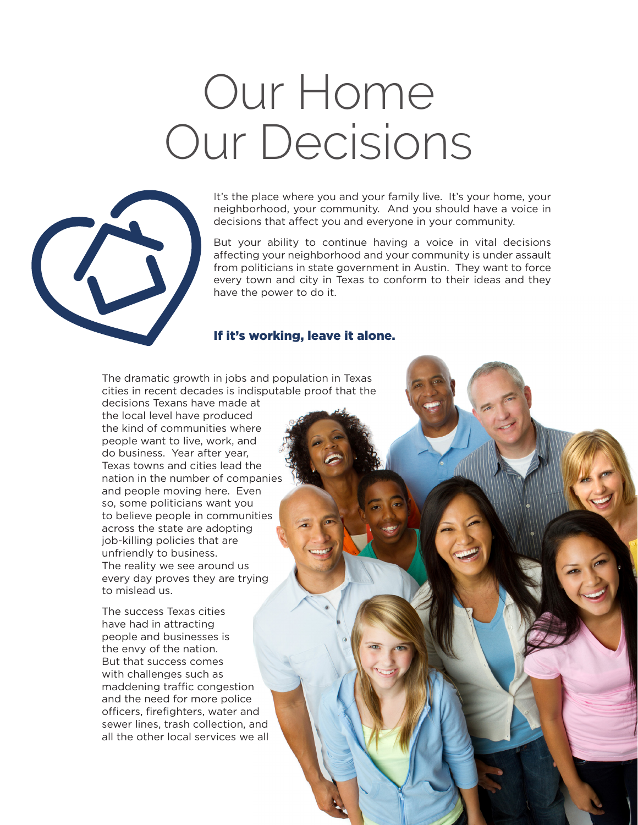## Our Home Our Decisions



It's the place where you and your family live. It's your home, your neighborhood, your community. And you should have a voice in decisions that affect you and everyone in your community.

But your ability to continue having a voice in vital decisions affecting your neighborhood and your community is under assault from politicians in state government in Austin. They want to force every town and city in Texas to conform to their ideas and they have the power to do it.

## If it's working, leave it alone.

The dramatic growth in jobs and population in Texas cities in recent decades is indisputable proof that the

decisions Texans have made at the local level have produced the kind of communities where people want to live, work, and do business. Year after year, Texas towns and cities lead the nation in the number of companies and people moving here. Even so, some politicians want you to believe people in communities across the state are adopting job-killing policies that are unfriendly to business. The reality we see around us every day proves they are trying to mislead us.

The success Texas cities have had in attracting people and businesses is the envy of the nation. But that success comes with challenges such as maddening traffic congestion and the need for more police officers, firefighters, water and sewer lines, trash collection, and all the other local services we all